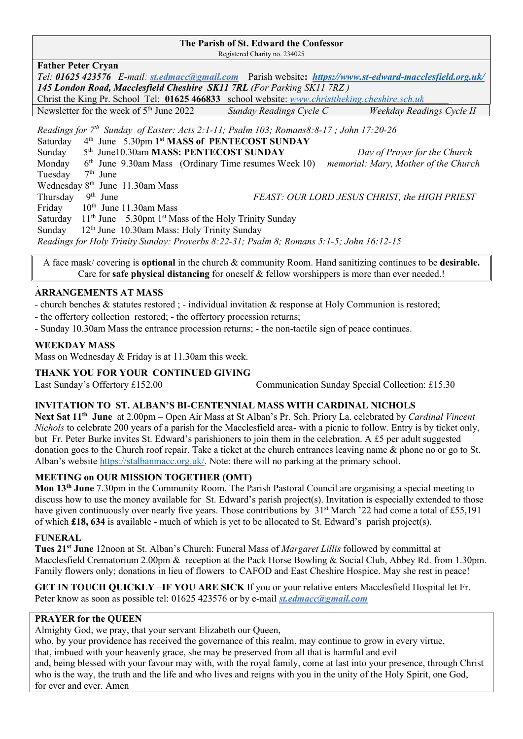## **The Parish of St. Edward the Confessor**

Registered Charity no. 234025

| <b>Father Peter Cryan</b>                                                                                 |
|-----------------------------------------------------------------------------------------------------------|
| Tel: 01625 423576 E-mail: st.edmacc@gmail.com Parish website: https://www.st-edward-macclesfield.org.uk/  |
| 145 London Road, Macclesfield Cheshire SK11 7RL (For Parking SK11 7RZ)                                    |
| Christ the King Pr. School Tel: 01625 466833 school website: www.christtheking.cheshire.sch.uk            |
| Newsletter for the week of $5th$ June 2022<br>Sunday Readings Cycle C<br><b>Weekday Readings Cycle II</b> |
| Readings for $7th$ Sunday of Easter: Acts 2:1-11; Psalm 103; Romans8:8-17; John 17:20-26                  |
| 4th June 5.30pm 1st MASS of PENTECOST SUNDAY<br>Saturday                                                  |
| 5 <sup>th</sup> June10.30am MASS: PENTECOST SUNDAY<br>Sunday<br>Day of Prayer for the Church              |
| $6th$ June 9.30am Mass (Ordinary Time resumes Week 10)<br>memorial: Mary, Mother of the Church<br>Monday  |
| Tuesday<br>$7th$ June                                                                                     |
| Wednesday $8th$ June 11.30am Mass                                                                         |
| $9th$ June<br>FEAST: OUR LORD JESUS CHRIST, the HIGH PRIEST<br>Thursday                                   |
| Friday<br>$10th$ June 11.30am Mass                                                                        |
| $11th$ June 5.30pm 1 <sup>st</sup> Mass of the Holy Trinity Sunday<br>Saturday                            |
| $12th$ June 10.30am Mass: Holy Trinity Sunday<br>Sunday                                                   |
| Readings for Holy Trinity Sunday: Proverbs 8:22-31; Psalm 8; Romans 5:1-5; John 16:12-15                  |

A face mask/ covering is **optional** in the church & community Room. Hand sanitizing continues to be **desirable.** Care for **safe physical distancing** for oneself & fellow worshippers is more than ever needed.!

#### ֺ֝ **ARRANGEMENTS AT MASS**

- church benches & statutes restored ; - individual invitation & response at Holy Communion is restored;

- the offertory collection restored; - the offertory procession returns;

- Sunday 10.30am Mass the entrance procession returns; - the non-tactile sign of peace continues.

### **WEEKDAY MASS**

Mass on Wednesday & Friday is at 11.30am this week.

#### **THANK YOU FOR YOUR CONTINUED GIVING**

Last Sunday's Offertory £152.00 Communication Sunday Special Collection: £15.30

### **INVITATION TO ST. ALBAN'S BI-CENTENNIAL MASS WITH CARDINAL NICHOLS**

**Next Sat 11th June** at 2.00pm – Open Air Mass at St Alban's Pr. Sch. Priory La. celebrated by *Cardinal Vincent Nichols* to celebrate 200 years of a parish for the Macclesfield area- with a picnic to follow. Entry is by ticket only, but Fr. Peter Burke invites St. Edward's parishioners to join them in the celebration. A £5 per adult suggested donation goes to the Church roof repair. Take a ticket at the church entrances leaving name & phone no or go to St. Alban's website [https://stalbanmacc.org.uk/.](https://stalbanmacc.org.uk/) Note: there will no parking at the primary school.

### **MEETING on OUR MISSION TOGETHER (OMT)**

**Mon 13th June** 7.30pm in the Community Room. The Parish Pastoral Council are organising a special meeting to discuss how to use the money available for St. Edward's parish project(s). Invitation is especially extended to those have given continuously over nearly five years. Those contributions by  $31^{st}$  March '22 had come a total of £55,191 of which **£18, 634** is available - much of which is yet to be allocated to St. Edward's parish project(s).

#### **FUNERAL**

**Tues 21st June** 12noon at St. Alban's Church: Funeral Mass of *Margaret Lillis* followed by committal at Macclesfield Crematorium 2.00pm & reception at the Pack Horse Bowling & Social Club, Abbey Rd. from 1.30pm. Family flowers only; donations in lieu of flowers to CAFOD and East Cheshire Hospice. May she rest in peace!

**GET IN TOUCH QUICKLY –IF YOU ARE SICK** If you or your relative enters Macclesfield Hospital let Fr. Peter know as soon as possible tel: 01625 423576 or by e-mail *[st.edmacc@gmail.com](mailto:st.edmacc@gmail.com)*

## **PRAYER for the QUEEN**

Almighty God, we pray, that your servant Elizabeth our Queen,

who, by your providence has received the governance of this realm, may continue to grow in every virtue,

that, imbued with your heavenly grace, she may be preserved from all that is harmful and evil

and, being blessed with your favour may with, with the royal family, come at last into your presence, through Christ who is the way, the truth and the life and who lives and reigns with you in the unity of the Holy Spirit, one God, for ever and ever. Amen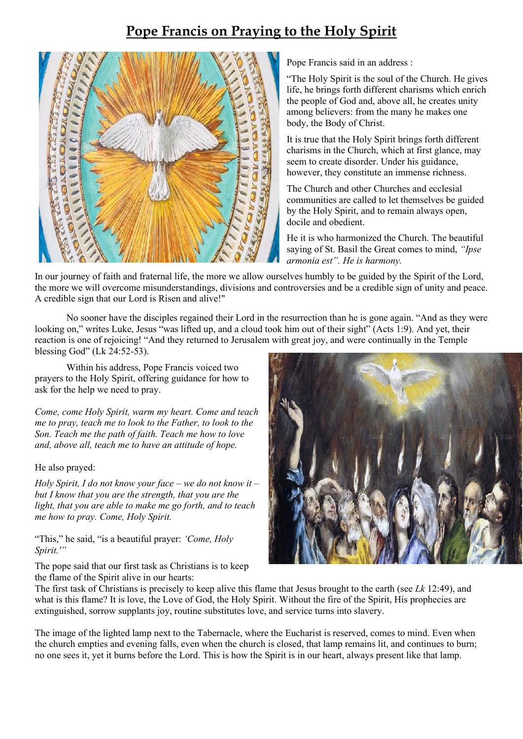# **Pope Francis on Praying to the Holy Spirit**



Pope Francis said in an address :

"The Holy Spirit is the soul of the Church. He gives life, he brings forth different charisms which enrich the people of God and, above all, he creates unity among believers: from the many he makes one body, the Body of Christ.

It is true that the Holy Spirit brings forth different charisms in the Church, which at first glance, may seem to create disorder. Under his guidance, however, they constitute an immense richness.

The Church and other Churches and ecclesial communities are called to let themselves be guided by the Holy Spirit, and to remain always open, docile and obedient.

He it is who harmonized the Church. The beautiful saying of St. Basil the Great comes to mind, *"Ipse armonia est". He is harmony.*

In our journey of faith and fraternal life, the more we allow ourselves humbly to be guided by the Spirit of the Lord, the more we will overcome misunderstandings, divisions and controversies and be a credible sign of unity and peace. A credible sign that our Lord is Risen and alive!"

No sooner have the disciples regained their Lord in the resurrection than he is gone again. "And as they were looking on," writes Luke, Jesus "was lifted up, and a cloud took him out of their sight" (Acts 1:9). And yet, their reaction is one of rejoicing! "And they returned to Jerusalem with great joy, and were continually in the Temple blessing God" (Lk 24:52-53).

Within his address, Pope Francis voiced two prayers to the Holy Spirit, offering guidance for how to ask for the help we need to pray.

*Come, come Holy Spirit, warm my heart. Come and teach me to pray, teach me to look to the Father, to look to the Son. Teach me the path of faith. Teach me how to love and, above all, teach me to have an attitude of hope.*

### He also prayed:

*Holy Spirit, I do not know your face – we do not know it – but I know that you are the strength, that you are the light, that you are able to make me go forth, and to teach me how to pray. Come, Holy Spirit.*

"This," he said, "is a beautiful prayer: *'Come, Holy Spirit.'"*

The pope said that our first task as Christians is to keep the flame of the Spirit alive in our hearts:



The first task of Christians is precisely to keep alive this flame that Jesus brought to the earth (see *Lk* 12:49), and what is this flame? It is love, the Love of God, the Holy Spirit. Without the fire of the Spirit, His prophecies are extinguished, sorrow supplants joy, routine substitutes love, and service turns into slavery.

The image of the lighted lamp next to the Tabernacle, where the Eucharist is reserved, comes to mind. Even when the church empties and evening falls, even when the church is closed, that lamp remains lit, and continues to burn; no one sees it, yet it burns before the Lord. This is how the Spirit is in our heart, always present like that lamp.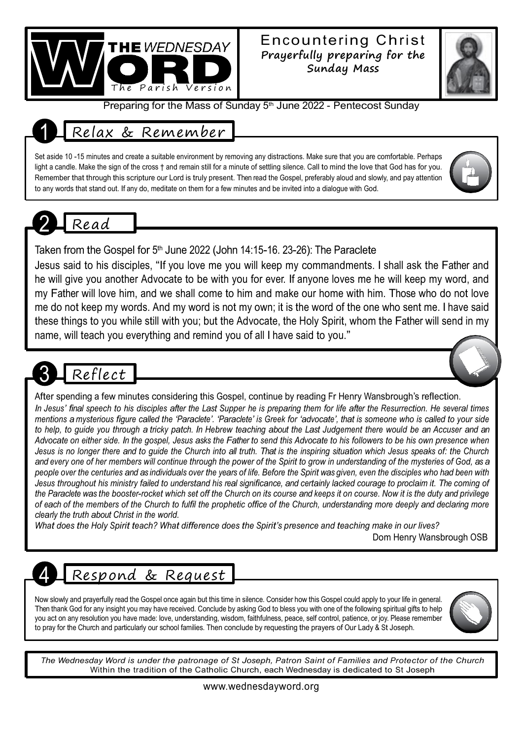

## Encountering Christ **Prayerfully preparing for the Sunday Mass**



Preparing for the Mass of Sunday 5<sup>th</sup> June 2022 - Pentecost Sunday

# 1 Relax & Remember

Set aside 10 -15 minutes and create a suitable environment by removing any distractions. Make sure that you are comfortable. Perhaps light a candle. Make the sign of the cross † and remain still for a minute of settling silence. Call to mind the love that God has for you. Remember that through this scripture our Lord is truly present. Then read the Gospel, preferably aloud and slowly, and pay attention to any words that stand out. If any do, meditate on them for a few minutes and be invited into a dialogue with God.

# 2 Read

Taken from the Gospel for 5<sup>th</sup> June 2022 (John 14:15-16. 23-26): The Paraclete

Jesus said to his disciples, "If you love me you will keep my commandments. I shall ask the Father and he will give you another Advocate to be with you for ever. If anyone loves me he will keep my word, and my Father will love him, and we shall come to him and make our home with him. Those who do not love me do not keep my words. And my word is not my own; it is the word of the one who sent me. I have said these things to you while still with you; but the Advocate, the Holy Spirit, whom the Father will send in my name, will teach you everything and remind you of all I have said to you."

# Reflect

## After spending a few minutes considering this Gospel, continue by reading Fr Henry Wansbrough's reflection.

In Jesus' final speech to his disciples after the Last Supper he is preparing them for life after the Resurrection. He several times mentions a mysterious figure called the 'Paraclete'. 'Paraclete' is Greek for 'advocate', that is someone who is called to your side to help, to guide you through a tricky patch. In Hebrew teaching about the Last Judgement there would be an Accuser and an Advocate on either side. In the gospel, Jesus asks the Father to send this Advocate to his followers to be his own presence when Jesus is no longer there and to guide the Church into all truth. That is the inspiring situation which Jesus speaks of: the Church and every one of her members will continue through the power of the Spirit to grow in understanding of the mysteries of God, as a people over the centuries and as individuals over the years of life. Before the Spirit was given, even the disciples who had been with Jesus throughout his ministry failed to understand his real significance, and certainly lacked courage to proclaim it. The coming of the Paraclete was the booster-rocket which set off the Church on its course and keeps it on course. Now it is the duty and privilege of each of the members of the Church to fulfil the prophetic office of the Church, understanding more deeply and declaring more *clearly the truth about Christ in the world.*

What does the Holy Spirit teach? What difference does the Spirit's presence and teaching make in our lives? Dom Henry Wansbrough OSB

# Respond & Request

Now slowly and prayerfully read the Gospel once again but this time in silence. Consider how this Gospel could apply to your life in general. Then thank God for any insight you may have received. Conclude by asking God to bless you with one of the following spiritual gifts to help you act on any resolution you have made: love, understanding, wisdom, faithfulness, peace, self control, patience, or joy. Please remember to pray for the Church and particularly our school families. Then conclude by requesting the prayers of Our Lady & St Joseph.



The Wednesday Word is under the patronage of St Joseph, Patron Saint of Families and Protector of the Church Within the tradition of the Catholic Church, each Wednesday is dedicated to St Joseph